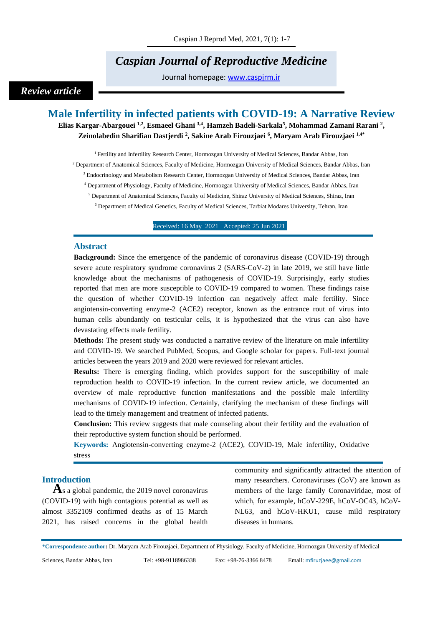# *Caspian Journal of Reproductive Medicine*

Journal homepage: [www.caspjrm.ir](http://www.caspjrm.ir/)

## *Review article*

## **Male Infertility in infected patients with COVID-19: A Narrative Review**

**Elias Kargar-Abargouei 1,2 , Esmaeel Ghani 3,4 , Hamzeh Badeli-Sarkala<sup>5</sup> , Mohammad Zamani Rarani <sup>2</sup> , Zeinolabedin Sharifian Dastjerdi <sup>2</sup> , Sakine Arab Firouzjaei <sup>6</sup> , Maryam Arab Firouzjaei 1,4\***

<sup>1</sup> Fertility and Infertility Research Center, Hormozgan University of Medical Sciences, Bandar Abbas, Iran <sup>2</sup> Department of Anatomical Sciences, Faculty of Medicine, Hormozgan University of Medical Sciences, Bandar Abbas, Iran <sup>3</sup> Endocrinology and Metabolism Research Center, Hormozgan University of Medical Sciences, Bandar Abbas, Iran <sup>4</sup> Department of Physiology, Faculty of Medicine, Hormozgan University of Medical Sciences, Bandar Abbas, Iran <sup>5</sup> Department of Anatomical Sciences, Faculty of Medicine, Shiraz University of Medical Sciences, Shiraz, Iran <sup>6</sup> Department of Medical Genetics, Faculty of Medical Sciences, Tarbiat Modares University, Tehran, Iran

Received: 16 May 2021 Accepted: 25 Jun 2021

#### **Abstract**

**Background:** Since the emergence of the pandemic of coronavirus disease (COVID-19) through severe acute respiratory syndrome coronavirus 2 (SARS-CoV-2) in late 2019, we still have little knowledge about the mechanisms of pathogenesis of COVID-19. Surprisingly, early studies reported that men are more susceptible to COVID-19 compared to women. These findings raise the question of whether COVID-19 infection can negatively affect male fertility. Since angiotensin-converting enzyme-2 (ACE2) receptor, known as the entrance rout of virus into human cells abundantly on testicular cells, it is hypothesized that the virus can also have devastating effects male fertility.

**Methods:** The present study was conducted a narrative review of the literature on male infertility and COVID-19. We searched PubMed, Scopus, and Google scholar for papers. Full-text journal articles between the years 2019 and 2020 were reviewed for relevant articles.

**Results:** There is emerging finding, which provides support for the susceptibility of male reproduction health to COVID-19 infection. In the current review article, we documented an overview of male reproductive function manifestations and the possible male infertility mechanisms of COVID-19 infection. Certainly, clarifying the mechanism of these findings will lead to the timely management and treatment of infected patients.

**Conclusion:** This review suggests that male counseling about their fertility and the evaluation of their reproductive system function should be performed.

**Keywords:** Angiotensin-converting enzyme-2 (ACE2), COVID-19, Male infertility, Oxidative stress

#### **Introduction**

**A**s a global pandemic, the 2019 novel coronavirus (COVID-19) with high contagious potential as well as almost 3352109 confirmed deaths as of 15 March 2021, has raised concerns in the global health

community and significantly attracted the attention of many researchers. Coronaviruses (CoV) are known as members of the large family Coronaviridae, most of which, for example, hCoV-229E, hCoV-OC43, hCoV-NL63, and hCoV-HKU1, cause mild respiratory diseases in humans.

\***Correspondence author:** Dr. Maryam Arab Firouzjaei, Department of Physiology, Faculty of Medicine, Hormozgan University of Medical

Sciences, Bandar Abbas, Iran Tel: +98-9118986338 Fax: +98-76-3366 8478 Email: [mfiruzjaee@gmail.com](mailto:mfiruzjaee@gmail.com)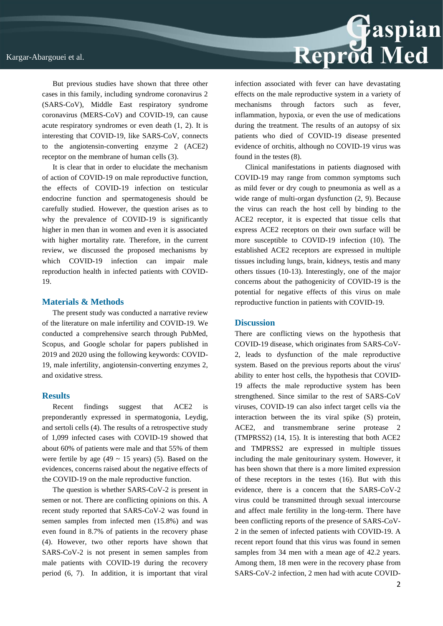But previous studies have shown that three other cases in this family, including syndrome coronavirus 2 (SARS-CoV), Middle East respiratory syndrome coronavirus (MERS-CoV) and COVID-19, can cause acute respiratory syndromes or even death (1, 2). It is interesting that COVID-19, like SARS-CoV, connects to the angiotensin-converting enzyme 2 (ACE2) receptor on the membrane of human cells (3).

It is clear that in order to elucidate the mechanism of action of COVID-19 on male reproductive function, the effects of COVID-19 infection on testicular endocrine function and spermatogenesis should be carefully studied. However, the question arises as to why the prevalence of COVID-19 is significantly higher in men than in women and even it is associated with higher mortality rate. Therefore, in the current review, we discussed the proposed mechanisms by which COVID-19 infection can impair male reproduction health in infected patients with COVID-19.

#### **Materials & Methods**

The present study was conducted a narrative review of the literature on male infertility and COVID-19. We conducted a comprehensive search through PubMed, Scopus, and Google scholar for papers published in 2019 and 2020 using the following keywords: COVID-19, male infertility, angiotensin-converting enzymes 2, and oxidative stress.

#### **Results**

Recent findings suggest that ACE2 is preponderantly expressed in spermatogonia, Leydig, and sertoli cells (4). The results of a retrospective study of 1,099 infected cases with COVID-19 showed that about 60% of patients were male and that 55% of them were fertile by age (49  $\sim$  15 years) (5). Based on the evidences, concerns raised about the negative effects of the COVID-19 on the male reproductive function.

The question is whether SARS-CoV-2 is present in semen or not. There are conflicting opinions on this. A recent study reported that SARS-CoV-2 was found in semen samples from infected men (15.8%) and was even found in 8.7% of patients in the recovery phase (4). However, two other reports have shown that SARS-CoV-2 is not present in semen samples from male patients with COVID-19 during the recovery period (6, 7). In addition, it is important that viral



infection associated with fever can have devastating effects on the male reproductive system in a variety of mechanisms through factors such as fever, inflammation, hypoxia, or even the use of medications during the treatment. The results of an autopsy of six patients who died of COVID-19 disease presented evidence of orchitis, although no COVID-19 virus was found in the testes (8).

Clinical manifestations in patients diagnosed with COVID-19 may range from common symptoms such as mild fever or dry cough to pneumonia as well as a wide range of multi-organ dysfunction (2, 9). Because the virus can reach the host cell by binding to the ACE2 receptor, it is expected that tissue cells that express ACE2 receptors on their own surface will be more susceptible to COVID-19 infection (10). The established ACE2 receptors are expressed in multiple tissues including lungs, brain, kidneys, testis and many others tissues (10-13). Interestingly, one of the major concerns about the pathogenicity of COVID-19 is the potential for negative effects of this virus on male reproductive function in patients with COVID-19.

#### **Discussion**

There are conflicting views on the hypothesis that COVID-19 disease, which originates from SARS-CoV-2, leads to dysfunction of the male reproductive system. Based on the previous reports about the virus' ability to enter host cells, the hypothesis that COVID-19 affects the male reproductive system has been strengthened. Since similar to the rest of SARS-CoV viruses, COVID-19 can also infect target cells via the interaction between the its viral spike (S) protein, ACE2, and transmembrane serine protease 2 (TMPRSS2) (14, 15). It is interesting that both ACE2 and TMPRSS2 are expressed in multiple tissues including the male genitourinary system. However, it has been shown that there is a more limited expression of these receptors in the testes (16). But with this evidence, there is a concern that the SARS-CoV-2 virus could be transmitted through sexual intercourse and affect male fertility in the long-term. There have been conflicting reports of the presence of SARS-CoV-2 in the semen of infected patients with COVID-19. A recent report found that this virus was found in semen samples from 34 men with a mean age of 42.2 years. Among them, 18 men were in the recovery phase from SARS-CoV-2 infection, 2 men had with acute COVID-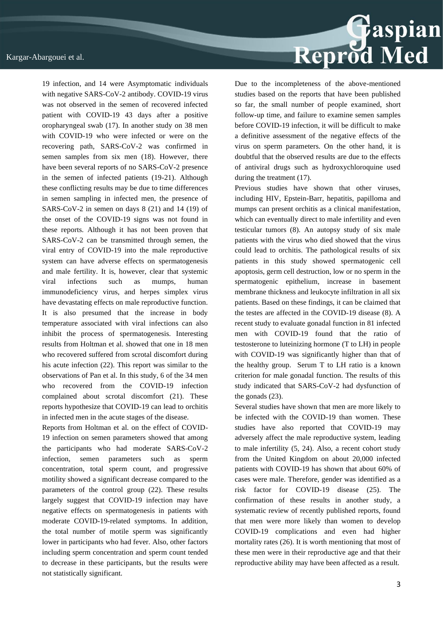

Reports from Holtman et al. on the effect of COVID-19 infection on semen parameters showed that among the participants who had moderate SARS-CoV-2 infection, semen parameters such as sperm concentration, total sperm count, and progressive motility showed a significant decrease compared to the parameters of the control group (22). These results largely suggest that COVID-19 infection may have negative effects on spermatogenesis in patients with moderate COVID-19-related symptoms. In addition, the total number of motile sperm was significantly lower in participants who had fever. Also, other factors including sperm concentration and sperm count tended to decrease in these participants, but the results were not statistically significant.



Due to the incompleteness of the above-mentioned studies based on the reports that have been published so far, the small number of people examined, short follow-up time, and failure to examine semen samples before COVID-19 infection, it will be difficult to make a definitive assessment of the negative effects of the virus on sperm parameters. On the other hand, it is doubtful that the observed results are due to the effects of antiviral drugs such as hydroxychloroquine used during the treatment (17).

Previous studies have shown that other viruses, including HIV, Epstein-Barr, hepatitis, papilloma and mumps can present orchitis as a clinical manifestation, which can eventually direct to male infertility and even testicular tumors (8). An autopsy study of six male patients with the virus who died showed that the virus could lead to orchitis. The pathological results of six patients in this study showed spermatogenic cell apoptosis, germ cell destruction, low or no sperm in the spermatogenic epithelium, increase in basement membrane thickness and leukocyte infiltration in all six patients. Based on these findings, it can be claimed that the testes are affected in the COVID-19 disease (8). A recent study to evaluate gonadal function in 81 infected men with COVID-19 found that the ratio of testosterone to luteinizing hormone (T to LH) in people with COVID-19 was significantly higher than that of the healthy group. Serum T to LH ratio is a known criterion for male gonadal function. The results of this study indicated that SARS-CoV-2 had dysfunction of the gonads (23).

Several studies have shown that men are more likely to be infected with the COVID-19 than women. These studies have also reported that COVID-19 may adversely affect the male reproductive system, leading to male infertility (5, 24). Also, a recent cohort study from the United Kingdom on about 20,000 infected patients with COVID-19 has shown that about 60% of cases were male. Therefore, gender was identified as a risk factor for COVID-19 disease (25). The confirmation of these results in another study, a systematic review of recently published reports, found that men were more likely than women to develop COVID-19 complications and even had higher mortality rates (26). It is worth mentioning that most of these men were in their reproductive age and that their reproductive ability may have been affected as a result.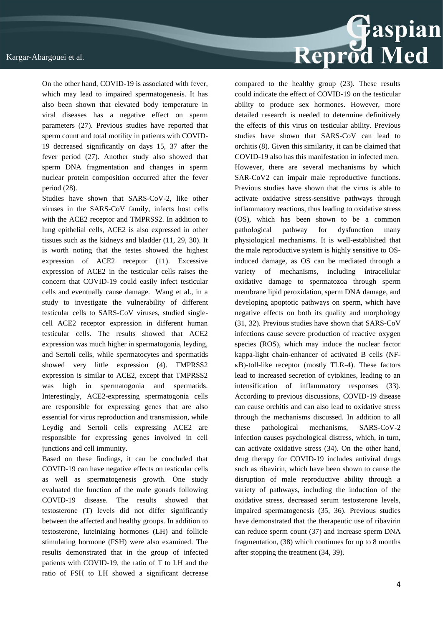On the other hand, COVID-19 is associated with fever, which may lead to impaired spermatogenesis. It has also been shown that elevated body temperature in viral diseases has a negative effect on sperm parameters (27). Previous studies have reported that sperm count and total motility in patients with COVID-19 decreased significantly on days 15, 37 after the fever period (27). Another study also showed that sperm DNA fragmentation and changes in sperm nuclear protein composition occurred after the fever period (28).

Studies have shown that SARS-CoV-2, like other viruses in the SARS-CoV family, infects host cells with the ACE2 receptor and TMPRSS2. In addition to lung epithelial cells, ACE2 is also expressed in other tissues such as the kidneys and bladder (11, 29, 30). It is worth noting that the testes showed the highest expression of ACE2 receptor (11). Excessive expression of ACE2 in the testicular cells raises the concern that COVID-19 could easily infect testicular cells and eventually cause damage. Wang et al., in a study to investigate the vulnerability of different testicular cells to SARS-CoV viruses, studied singlecell ACE2 receptor expression in different human testicular cells. The results showed that ACE2 expression was much higher in spermatogonia, leyding, and Sertoli cells, while spermatocytes and spermatids showed very little expression (4). TMPRSS2 expression is similar to ACE2, except that TMPRSS2 was high in spermatogonia and spermatids. Interestingly, ACE2-expressing spermatogonia cells are responsible for expressing genes that are also essential for virus reproduction and transmission, while Leydig and Sertoli cells expressing ACE2 are responsible for expressing genes involved in cell junctions and cell immunity.

Based on these findings, it can be concluded that COVID-19 can have negative effects on testicular cells as well as spermatogenesis growth. One study evaluated the function of the male gonads following COVID-19 disease. The results showed that testosterone (T) levels did not differ significantly between the affected and healthy groups. In addition to testosterone, luteinizing hormones (LH) and follicle stimulating hormone (FSH) were also examined. The results demonstrated that in the group of infected patients with COVID-19, the ratio of T to LH and the ratio of FSH to LH showed a significant decrease



compared to the healthy group (23). These results could indicate the effect of COVID-19 on the testicular ability to produce sex hormones. However, more detailed research is needed to determine definitively the effects of this virus on testicular ability. Previous studies have shown that SARS-CoV can lead to orchitis (8). Given this similarity, it can be claimed that COVID-19 also has this manifestation in infected men. However, there are several mechanisms by which SAR-CoV2 can impair male reproductive functions. Previous studies have shown that the virus is able to activate oxidative stress-sensitive pathways through inflammatory reactions, thus leading to oxidative stress (OS), which has been shown to be a common pathological pathway for dysfunction many physiological mechanisms. It is well-established that the male reproductive system is highly sensitive to OSinduced damage, as OS can be mediated through a variety of mechanisms, including intracellular oxidative damage to spermatozoa through sperm membrane lipid peroxidation, sperm DNA damage, and developing apoptotic pathways on sperm, which have negative effects on both its quality and morphology (31, 32). Previous studies have shown that SARS-CoV infections cause severe production of reactive oxygen species (ROS), which may induce the nuclear factor kappa-light chain-enhancer of activated B cells (NFκB)-toll-like receptor (mostly TLR-4). These factors lead to increased secretion of cytokines, leading to an intensification of inflammatory responses (33). According to previous discussions, COVID-19 disease can cause orchitis and can also lead to oxidative stress through the mechanisms discussed. In addition to all these pathological mechanisms, SARS-CoV-2 infection causes psychological distress, which, in turn, can activate oxidative stress (34). On the other hand, drug therapy for COVID-19 includes antiviral drugs such as ribavirin, which have been shown to cause the disruption of male reproductive ability through a variety of pathways, including the induction of the oxidative stress, decreased serum testosterone levels, impaired spermatogenesis (35, 36). Previous studies have demonstrated that the therapeutic use of ribavirin can reduce sperm count (37) and increase sperm DNA fragmentation, (38) which continues for up to 8 months after stopping the treatment (34, 39).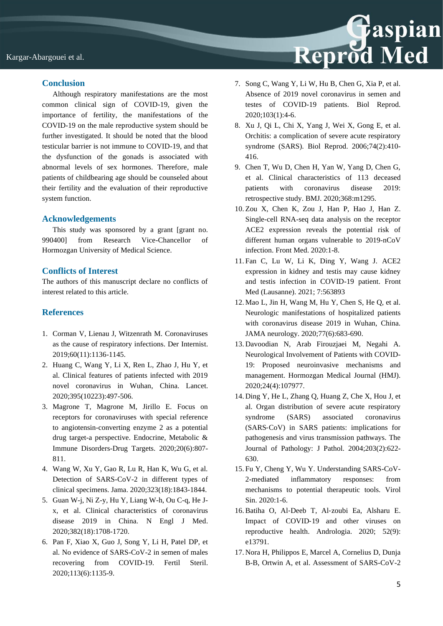

#### **Conclusion**

Although respiratory manifestations are the most common clinical sign of COVID-19, given the importance of fertility, the manifestations of the COVID-19 on the male reproductive system should be further investigated. It should be noted that the blood testicular barrier is not immune to COVID-19, and that the dysfunction of the gonads is associated with abnormal levels of sex hormones. Therefore, male patients of childbearing age should be counseled about their fertility and the evaluation of their reproductive system function.

#### **Acknowledgements**

This study was sponsored by a grant [grant no. 990400] from Research Vice-Chancellor of Hormozgan University of Medical Science.

#### **Conflicts of Interest**

The authors of this manuscript declare no conflicts of interest related to this article.

### **References**

- 1. Corman V, Lienau J, Witzenrath M. Coronaviruses as the cause of respiratory infections. Der Internist. 2019;60(11):1136-1145.
- 2. Huang C, Wang Y, Li X, Ren L, Zhao J, Hu Y, et al. Clinical features of patients infected with 2019 novel coronavirus in Wuhan, China. Lancet. 2020;395(10223):497-506.
- 3. Magrone T, Magrone M, Jirillo E. Focus on receptors for coronaviruses with special reference to angiotensin-converting enzyme 2 as a potential drug target-a perspective. Endocrine, Metabolic & Immune Disorders-Drug Targets. 2020;20(6):807- 811.
- 4. Wang W, Xu Y, Gao R, Lu R, Han K, Wu G, et al. Detection of SARS-CoV-2 in different types of clinical specimens. Jama. 2020;323(18):1843-1844.
- 5. Guan W-j, Ni Z-y, Hu Y, Liang W-h, Ou C-q, He Jx, et al. Clinical characteristics of coronavirus disease 2019 in China. N Engl J Med. 2020;382(18):1708-1720.
- 6. Pan F, Xiao X, Guo J, Song Y, Li H, Patel DP, et al. No evidence of SARS-CoV-2 in semen of males recovering from COVID-19. Fertil Steril. 2020;113(6):1135-9.
- 7. Song C, Wang Y, Li W, Hu B, Chen G, Xia P, et al. Absence of 2019 novel coronavirus in semen and testes of COVID-19 patients. Biol Reprod. 2020;103(1):4-6.
- 8. Xu J, Qi L, Chi X, Yang J, Wei X, Gong E, et al. Orchitis: a complication of severe acute respiratory syndrome (SARS). Biol Reprod. 2006;74(2):410- 416.
- 9. Chen T, Wu D, Chen H, Yan W, Yang D, Chen G, et al. Clinical characteristics of 113 deceased patients with coronavirus disease 2019: retrospective study. BMJ. 2020;368:m1295.
- 10. Zou X, Chen K, Zou J, Han P, Hao J, Han Z. Single-cell RNA-seq data analysis on the receptor ACE2 expression reveals the potential risk of different human organs vulnerable to 2019-nCoV infection. Front Med. 2020:1-8.
- 11. Fan C, Lu W, Li K, Ding Y, Wang J. ACE2 expression in kidney and testis may cause kidney and testis infection in COVID-19 patient. Front Med (Lausanne). 2021; 7:563893
- 12. Mao L, Jin H, Wang M, Hu Y, Chen S, He Q, et al. Neurologic manifestations of hospitalized patients with coronavirus disease 2019 in Wuhan, China. JAMA neurology. 2020;77(6):683-690.
- 13. Davoodian N, Arab Firouzjaei M, Negahi A. Neurological Involvement of Patients with COVID-19: Proposed neuroinvasive mechanisms and management. Hormozgan Medical Journal (HMJ). 2020;24(4):107977.
- 14. Ding Y, He L, Zhang Q, Huang Z, Che X, Hou J, et al. Organ distribution of severe acute respiratory syndrome (SARS) associated coronavirus (SARS‐CoV) in SARS patients: implications for pathogenesis and virus transmission pathways. The Journal of Pathology: J Pathol. 2004;203(2):622- 630.
- 15. Fu Y, Cheng Y, Wu Y. Understanding SARS-CoV-2-mediated inflammatory responses: from mechanisms to potential therapeutic tools. Virol Sin. 2020:1-6.
- 16.Batiha O, Al‐Deeb T, Al‐zoubi Ea, Alsharu E. Impact of COVID-19 and other viruses on reproductive health. Andrologia. 2020; 52(9): e13791.
- 17. Nora H, Philippos E, Marcel A, Cornelius D, Dunja B-B, Ortwin A, et al. Assessment of SARS-CoV-2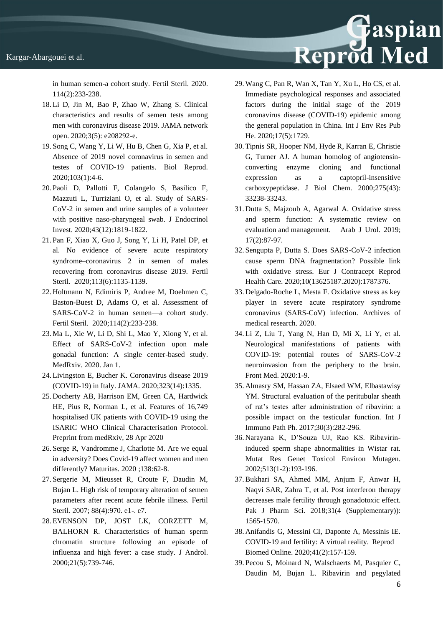in human semen-a cohort study. Fertil Steril. 2020. 114(2):233-238.

- 18. Li D, Jin M, Bao P, Zhao W, Zhang S. Clinical characteristics and results of semen tests among men with coronavirus disease 2019. JAMA network open. 2020;3(5): e208292-e.
- 19. Song C, Wang Y, Li W, Hu B, Chen G, Xia P, et al. Absence of 2019 novel coronavirus in semen and testes of COVID-19 patients. Biol Reprod. 2020;103(1):4-6.
- 20. Paoli D, Pallotti F, Colangelo S, Basilico F, Mazzuti L, Turriziani O, et al. Study of SARS-CoV-2 in semen and urine samples of a volunteer with positive naso-pharyngeal swab. J Endocrinol Invest. 2020;43(12):1819-1822.
- 21. Pan F, Xiao X, Guo J, Song Y, Li H, Patel DP, et al. No evidence of severe acute respiratory syndrome–coronavirus 2 in semen of males recovering from coronavirus disease 2019. Fertil Steril. 2020:113(6):1135-1139.
- 22. Holtmann N, Edimiris P, Andree M, Doehmen C, Baston-Buest D, Adams O, et al. Assessment of SARS-CoV-2 in human semen—a cohort study. Fertil Steril. 2020;114(2):233-238.
- 23. Ma L, Xie W, Li D, Shi L, Mao Y, Xiong Y, et al. Effect of SARS-CoV-2 infection upon male gonadal function: A single center-based study. MedRxiv. 2020. Jan 1.
- 24. Livingston E, Bucher K. Coronavirus disease 2019 (COVID-19) in Italy. JAMA. 2020;323(14):1335.
- 25. Docherty AB, Harrison EM, Green CA, Hardwick HE, Pius R, Norman L, et al. Features of 16,749 hospitalised UK patients with COVID-19 using the ISARIC WHO Clinical Characterisation Protocol. Preprint from medRxiv, 28 Apr 2020
- 26. Serge R, Vandromme J, Charlotte M. Are we equal in adversity? Does Covid-19 affect women and men differently? Maturitas. 2020 ;138:62-8.
- 27. Sergerie M, Mieusset R, Croute F, Daudin M, Bujan L. High risk of temporary alteration of semen parameters after recent acute febrile illness. Fertil Steril. 2007; 88(4):970. e1-. e7.
- 28. EVENSON DP, JOST LK, CORZETT M, BALHORN R. Characteristics of human sperm chromatin structure following an episode of influenza and high fever: a case study. J Androl. 2000;21(5):739-746.

29. Wang C, Pan R, Wan X, Tan Y, Xu L, Ho CS, et al. Immediate psychological responses and associated factors during the initial stage of the 2019 coronavirus disease (COVID-19) epidemic among the general population in China. Int J Env Res Pub He. 2020;17(5):1729.

Reprod Med

- 30. Tipnis SR, Hooper NM, Hyde R, Karran E, Christie G, Turner AJ. A human homolog of angiotensinconverting enzyme cloning and functional expression as a captopril-insensitive carboxypeptidase. J Biol Chem. 2000;275(43): 33238-33243.
- 31. Dutta S, Majzoub A, Agarwal A. Oxidative stress and sperm function: A systematic review on evaluation and management. Arab J Urol. 2019; 17(2):87-97.
- 32. Sengupta P, Dutta S. Does SARS-CoV-2 infection cause sperm DNA fragmentation? Possible link with oxidative stress. Eur J Contracept Reprod Health Care. 2020;10(13625187.2020):1787376.
- 33. Delgado-Roche L, Mesta F. Oxidative stress as key player in severe acute respiratory syndrome coronavirus (SARS-CoV) infection. Archives of medical research. 2020.
- 34. Li Z, Liu T, Yang N, Han D, Mi X, Li Y, et al. Neurological manifestations of patients with COVID-19: potential routes of SARS-CoV-2 neuroinvasion from the periphery to the brain. Front Med. 2020:1-9.
- 35. Almasry SM, Hassan ZA, Elsaed WM, Elbastawisy YM. Structural evaluation of the peritubular sheath of rat's testes after administration of ribavirin: a possible impact on the testicular function. Int J Immuno Path Ph. 2017;30(3):282-296.
- 36. Narayana K, D'Souza UJ, Rao KS. Ribavirininduced sperm shape abnormalities in Wistar rat. Mutat Res Genet Toxicol Environ Mutagen. 2002;513(1-2):193-196.
- 37.Bukhari SA, Ahmed MM, Anjum F, Anwar H, Naqvi SAR, Zahra T, et al. Post interferon therapy decreases male fertility through gonadotoxic effect. Pak J Pharm Sci. 2018;31(4 (Supplementary)): 1565-1570.
- 38. Anifandis G, Messini CI, Daponte A, Messinis IE. COVID-19 and fertility: A virtual reality. Reprod Biomed Online. 2020;41(2):157-159.
- 39. Pecou S, Moinard N, Walschaerts M, Pasquier C, Daudin M, Bujan L. Ribavirin and pegylated